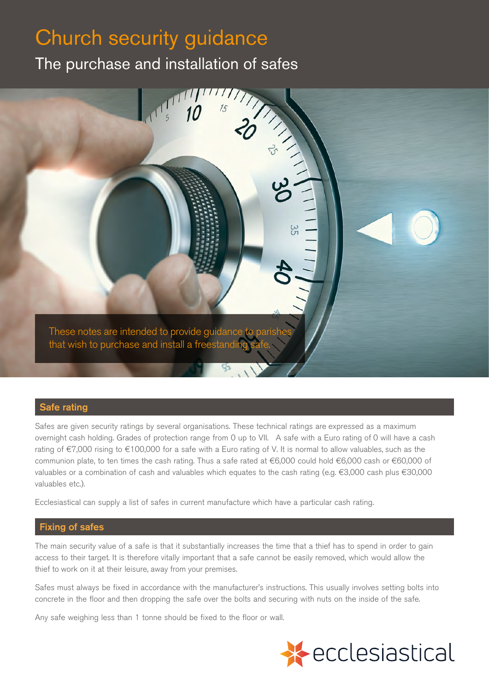# Church security guidance

The purchase and installation of safes



# Safe rating

Safes are given security ratings by several organisations. These technical ratings are expressed as a maximum overnight cash holding. Grades of protection range from 0 up to VII. A safe with a Euro rating of 0 will have a cash rating of €7,000 rising to €100,000 for a safe with a Euro rating of V. It is normal to allow valuables, such as the communion plate, to ten times the cash rating. Thus a safe rated at €6,000 could hold €6,000 cash or €60,000 of valuables or a combination of cash and valuables which equates to the cash rating (e.g. €3,000 cash plus €30,000 valuables etc.).

Ecclesiastical can supply a list of safes in current manufacture which have a particular cash rating.

# Fixing of safes

The main security value of a safe is that it substantially increases the time that a thief has to spend in order to gain access to their target. It is therefore vitally important that a safe cannot be easily removed, which would allow the thief to work on it at their leisure, away from your premises.

Safes must always be fixed in accordance with the manufacturer's instructions. This usually involves setting bolts into concrete in the floor and then dropping the safe over the bolts and securing with nuts on the inside of the safe.

Any safe weighing less than 1 tonne should be fixed to the floor or wall.

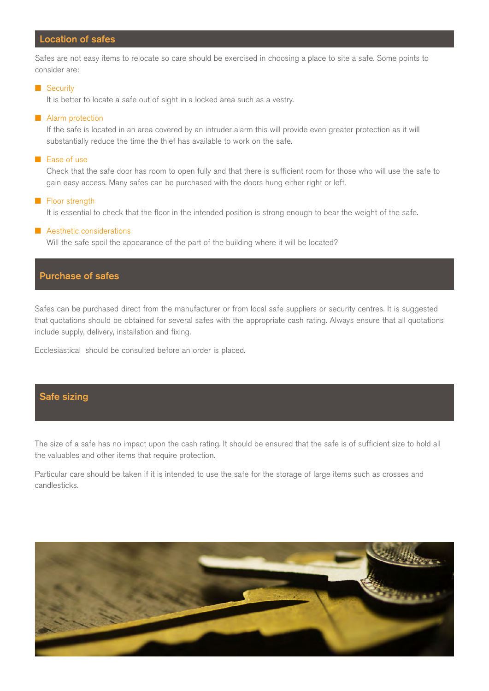# Location of safes

Safes are not easy items to relocate so care should be exercised in choosing a place to site a safe. Some points to consider are:

#### **n** Security

It is better to locate a safe out of sight in a locked area such as a vestry.

#### **n** Alarm protection

If the safe is located in an area covered by an intruder alarm this will provide even greater protection as it will substantially reduce the time the thief has available to work on the safe.

#### **n** Ease of use

Check that the safe door has room to open fully and that there is sufficient room for those who will use the safe to gain easy access. Many safes can be purchased with the doors hung either right or left.

#### $\blacksquare$  Floor strength

It is essential to check that the floor in the intended position is strong enough to bear the weight of the safe.

#### **n** Aesthetic considerations

Will the safe spoil the appearance of the part of the building where it will be located?

# Purchase of safes

Safes can be purchased direct from the manufacturer or from local safe suppliers or security centres. It is suggested that quotations should be obtained for several safes with the appropriate cash rating. Always ensure that all quotations include supply, delivery, installation and fixing.

Ecclesiastical should be consulted before an order is placed.

### Safe sizing

The size of a safe has no impact upon the cash rating. It should be ensured that the safe is of sufficient size to hold all the valuables and other items that require protection.

Particular care should be taken if it is intended to use the safe for the storage of large items such as crosses and candlesticks.